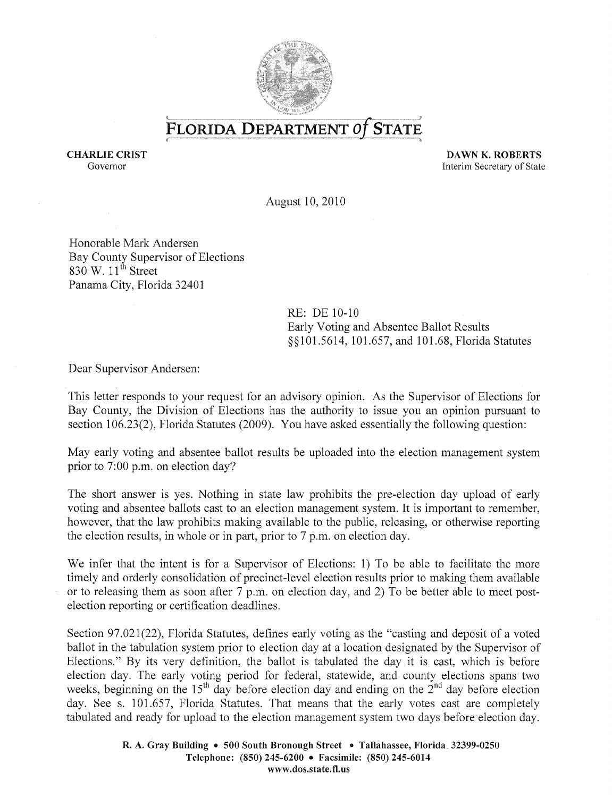

FLORIDA DEPARTMENT Of STATE

CHARLIE CRIST Governor

DAWN K. ROBERTS Interim Secretary of State

August 10,2010

Honorable Mark Andersen Bay County Supervisor of Elections 830 W.  $11^{th}$  Street Panama City, Florida 32401

> RE: DE 10-10 Early Voting and Absentee Ballot Results §§101.5614, 101.657, and 101.68, Florida Statutes

Dear Supervisor Andersen:

This letter responds to your request for an advisory opinion. As the Supervisor of Elections for Bay County, the Division of Elections has the authority to issue you an opinion pursuant to section 106.23(2), Florida Statutes (2009). You have asked essentially the following question:

May early voting and absentee ballot results be uploaded into the election management system prior to 7:00 p.m. on election day?

The short answer is yes. Nothing in state law prohibits the pre-election day upload of early voting and absentee ballots cast to an election management system. It is important to remember, however, that the law prohibits making available to the public, releasing, or otherwise reporting the election results, in whole or in part, prior to 7 p.m. on election day.

We infer that the intent is for a Supervisor of Elections: 1) To be able to facilitate the more timely and orderly consolidation of precinct-level election results prior to making them available or to releasing them as soon after 7 p.m. on election day, and 2) To be better able to meet postelection reporting or certification deadlines.

Section 97.021(22), Florida Statutes, defines early voting as the "casting and deposit of a voted ballot in the tabulation system prior to election day at a location designated by the Supervisor of Elections." By its very definition, the ballot is tabulated the day it is cast, which is before election day. The early voting period for federal, statewide, and county elections spans two weeks, beginning on the 15<sup>th</sup> day before election day and ending on the  $2^{nd}$  day before election day. See s. 101.657, Florida Statutes. That means that the early votes cast are completely tabulated and ready for upload to the election management system two days before election day.

> R. A. Gray Building • 500 South Bronough Street • Tallahassee, Florida. 32399-0250 Telephone: (850) 245-6200 • Facsimile: (850) 245-6014 www.dos.state.fl.us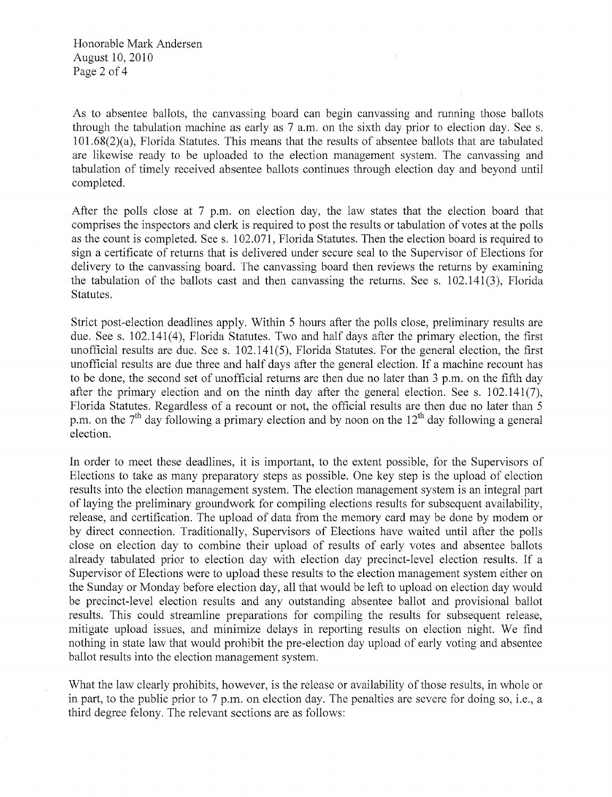Honorable Mark Andersen August 10, 2010 Page 2 of 4

As to absentee ballots, the canvassing board can begin canvassing and running those ballots through the tabulation machine as early as 7 a.m. on the sixth day prior to election day. See s. 101.68(2)(a), Florida Statutes. This means that the results of absentee ballots that are tabulated are likewise ready to be uploaded to the election management system. The canvassing and tabulation of timely received absentee ballots continues through election day and beyond until completed.

After the polls close at 7 p.m. on election day, the law states that the election board that comprises the inspectors and clerk is required to post the results or tabulation of votes at the polls as the count is completed. See s. 102.071, Florida Statutes. Then the election board is required to sign a certificate of returns that is delivered under secure seal to the Supervisor of Elections for delivery to the canvassing board. The canvassing board then reviews the returns by examining the tabulation of the ballots cast and then canvassing the returns. See s. 102.141(3), Florida Statutes.

Strict post-election deadlines apply. Within 5 hours after the polls close, preliminary results are due. See s. 102.141(4), Florida Statutes. Two and half days after the primary election, the first unofficial results are due. See s.  $102.141(5)$ , Florida Statutes. For the general election, the first unofficial results are due three and half days after the general election. If a machine recount has to be done, the second set of unofficial returns are then due no later than 3 p.m. on the fifth day after the primary election and on the ninth day after the general election. See s.  $102.141(7)$ , Florida Statutes. Regardless of a recount or not, the official results are then due no later than 5 p.m. on the 7<sup>th</sup> day following a primary election and by noon on the 12<sup>th</sup> day following a general election.

In order to meet these deadlines, it is important, to the extent possible, for the Supervisors of Elections to take as many preparatory steps as possible. One key step is the upload of election results into the election management system. The election management system is an integral part of laying the preliminary groundwork for compiling elections results for subsequent availability, release, and certification. The upload of data from the memory card may be done by modem or by direct connection. Traditionally, Supervisors of Elections have waited until after the polls close on election day to combine their upload of results of early votes and absentee ballots already tabulated prior to election day with election day precinct-level election results. If a Supervisor of Elections were to upload these results to the election management system either on the Sunday or Monday before election day, all that would be left to upload on election day would be precinct-level election results and any outstanding absentee ballot and provisional ballot results. This could streamline preparations for compiling the results for subsequent release, mitigate upload issues, and minimize delays in reporting results on election night. We find nothing in state law that would prohibit the pre-election day upload of early voting and absentee ballot results into the election management system.

What the law clearly prohibits, however, is the release or availability of those results, in whole or in part, to the public prior to 7 p.m. on election day. The penalties are severe for doing so, i.e., a third degree felony. The relevant sections are as follows: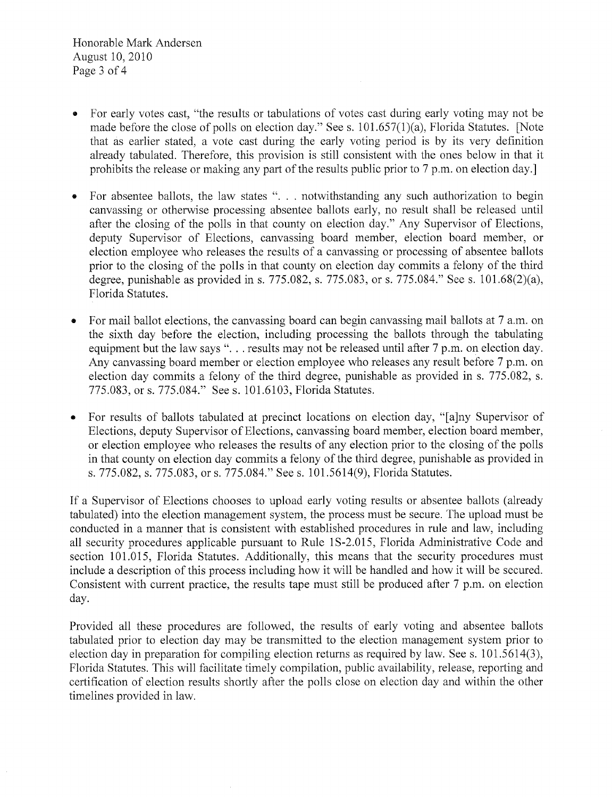Honorable Mark Andersen August 10,2010 Page 3 of 4

- For early votes cast, "the results or tabulations of votes cast during early voting may not be made before the close of polls on election day." See s. 101.657(1)(a), Florida Statutes. [Note that as earlier stated, a vote cast during the early voting period is by its very definition already tabulated. Therefore, this provision is still consistent with the ones below in that it prohibits the release or making any part of the results public prior to 7 p.m. on election day.]
- For absentee ballots, the law states "... notwithstanding any such authorization to begin canvassing or otherwise processing absentee ballots early, no result shall be released until after the closing of the polls in that county on election day." Any Supervisor of Elections, deputy Supervisor of Elections, canvassing board member, election board member, or election employee who releases the results of a canvassing or processing of absentee ballots prior to the closing of the polls in that county on election day commits a felony of the third degree, punishable as provided in s. 775.082, s. 775.083, or s. 775.084." See s. 101.68(2)(a), Florida Statutes.
- For mail ballot elections, the canvassing board can begin canvassing mail ballots at 7 a.m. on the sixth day before the election, including processing the ballots through the tabulating equipment but the law says "... results may not be released until after 7 p.m. on election day. Any canvassing board member or election employee who releases any result before 7 p.m. on election day commits a felony of the third degree, punishable as provided in s. 775.082, s. 775.083, or s. 775.084." See s. 101.6103, Florida Statutes.
- For results of ballots tabulated at precinct locations on election day, "[a]ny Supervisor of Elections, deputy Supervisor of Elections, canvassing board member, election board member, or election employee who releases the results of any election prior to the closing of the polls in that county on election day commits a felony of the third degree, punishable as provided in s. 775.082, s. 775.083, or s. 775.084." See s. 101.5614(9), Florida Statutes.

If a Supervisor of Elections chooses to upload early voting results or absentee ballots (already tabulated) into the election management system, the process must be secure. The upload must be conducted in a manner that is consistent with established procedures in rule and law, including all security procedures applicable pursuant to Rule 1S-2.015, Florida Administrative Code and section 101.015, Florida Statutes. Additionally, this means that the security procedures must include a description of this process including how it will be handled and how it will be secured. Consistent with current practice, the results tape must still be produced after 7 p.m. on election day.

Provided all these procedures are followed, the results of early voting and absentee ballots tabulated prior to election day may be transmitted to the election management system prior to election day in preparation for compiling election returns as required by law. See s. 101.5614(3), Florida Statutes. This will facilitate timely compilation, public availability, release, reporting and certification of election results shortly after the polls close on election day and within the other timelines provided in law.